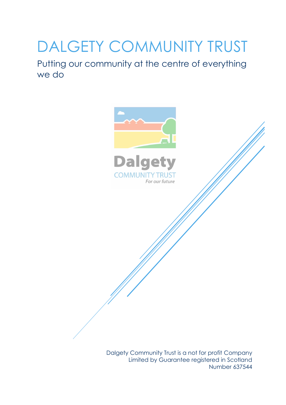# DALGETY COMMUNITY TRUST

Putting our community at the centre of everything we do



For our future

Dalgety Community Trust is a not for profit Company Limited by Guarantee registered in Scotland Number 637544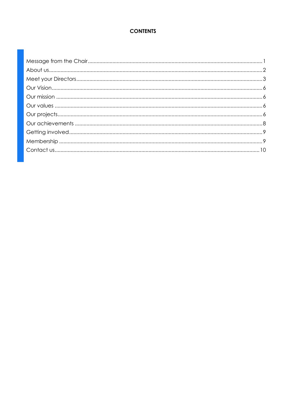### **CONTENTS**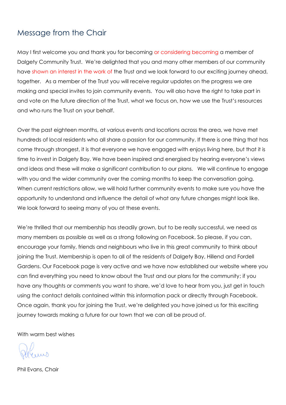### <span id="page-2-0"></span>Message from the Chair

May I first welcome you and thank you for becoming or considering becoming a member of Dalgety Community Trust. We're delighted that you and many other members of our community have shown an interest in the work of the Trust and we look forward to our exciting journey ahead, together. As a member of the Trust you will receive regular updates on the progress we are making and special invites to join community events. You will also have the right to take part in and vote on the future direction of the Trust, what we focus on, how we use the Trust's resources and who runs the Trust on your behalf.

Over the past eighteen months, at various events and locations across the area, we have met hundreds of local residents who all share a passion for our community. If there is one thing that has come through strongest, it is that everyone we have engaged with enjoys living here, but that it is time to invest in Dalgety Bay. We have been inspired and energised by hearing everyone's views and ideas and these will make a significant contribution to our plans. We will continue to engage with you and the wider community over the coming months to keep the conversation going. When current restrictions allow, we will hold further community events to make sure you have the opportunity to understand and influence the detail of what any future changes might look like. We look forward to seeing many of you at these events.

We're thrilled that our membership has steadily grown, but to be really successful, we need as many members as possible as well as a strong following on Facebook. So please, if you can, encourage your family, friends and neighbours who live in this great community to think about joining the Trust. Membership is open to all of the residents of Dalgety Bay, Hillend and Fordell Gardens. Our Facebook page is very active and we have now established our website where you can find everything you need to know about the Trust and our plans for the community; if you have any thoughts or comments you want to share, we'd love to hear from you, just get in touch using the contact details contained within this information pack or directly through Facebook. Once again, thank you for joining the Trust, we're delighted you have joined us for this exciting journey towards making a future for our town that we can all be proud of.

With warm best wishes

Phil Evans, Chair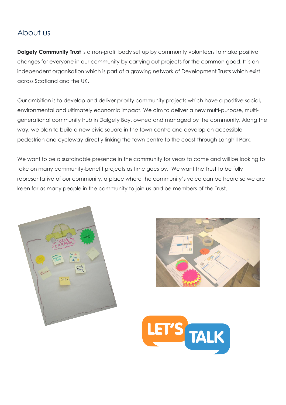### <span id="page-3-0"></span>About us

**Dalgety Community Trust** is a non-profit body set up by community volunteers to make positive changes for everyone in our community by carrying out projects for the common good. It is an independent organisation which is part of a growing network of Development Trusts which exist across Scotland and the UK.

Our ambition is to develop and deliver priority community projects which have a positive social, environmental and ultimately economic impact. We aim to deliver a new multi-purpose, multigenerational community hub in Dalgety Bay, owned and managed by the community. Along the way, we plan to build a new civic square in the town centre and develop an accessible pedestrian and cycleway directly linking the town centre to the coast through Longhill Park.

We want to be a sustainable presence in the community for years to come and will be looking to take on many community-benefit projects as time goes by. We want the Trust to be fully representative of our community, a place where the community's voice can be heard so we are keen for as many people in the community to join us and be members of the Trust.





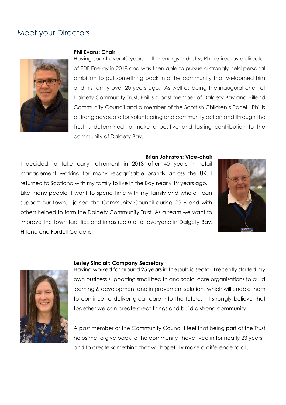### <span id="page-4-0"></span>Meet your Directors



#### **Phil Evans: Chair**

Having spent over 40 years in the energy industry, Phil retired as a director of EDF Energy in 2018 and was then able to pursue a strongly held personal ambition to put something back into the community that welcomed him and his family over 20 years ago. As well as being the inaugural chair of Dalgety Community Trust, Phil is a past member of Dalgety Bay and Hillend Community Council and a member of the Scottish Children's Panel. Phil is a strong advocate for volunteering and community action and through the Trust is determined to make a positive and lasting contribution to the community of Dalgety Bay.

#### **Brian Johnston: Vice-chair**

I decided to take early retirement in 2018 after 40 years in retail management working for many recognisable brands across the UK. I returned to Scotland with my family to live in the Bay nearly 19 years ago. Like many people, I want to spend time with my family and where I can support our town. I joined the Community Council during 2018 and with others helped to form the Dalgety Community Trust. As a team we want to improve the town facilities and infrastructure for everyone in Dalgety Bay, Hillend and Fordell Gardens.





#### **Lesley Sinclair: Company Secretary**

Having worked for around 25 years in the public sector, I recently started my own business supporting small health and social care organisations to build learning & development and improvement solutions which will enable them to continue to deliver great care into the future. I strongly believe that together we can create great things and build a strong community.

A past member of the Community Council I feel that being part of the Trust helps me to give back to the community I have lived in for nearly 23 years and to create something that will hopefully make a difference to all.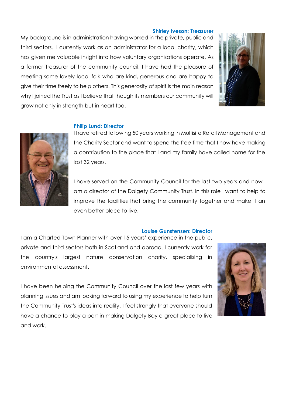#### **Shirley Iveson: Treasurer**

My background is in administration having worked in the private, public and third sectors. I currently work as an administrator for a local charity, which has given me valuable insight into how voluntary organisations operate. As a former Treasurer of the community council, I have had the pleasure of meeting some lovely local folk who are kind, generous and are happy to give their time freely to help others. This generosity of spirit is the main reason why I joined the Trust as I believe that though its members our community will grow not only in strength but in heart too.



#### **Philip Lund: Director**



I have retired following 50 years working in Multisite Retail Management and the Charity Sector and want to spend the free time that I now have making a contribution to the place that I and my family have called home for the last 32 years.

I have served on the Community Council for the last two years and now I am a director of the Dalgety Community Trust. In this role I want to help to improve the facilities that bring the community together and make it an even better place to live.

#### **Louise Gunstensen: Director**

I am a Charted Town Planner with over 15 years' experience in the public, private and third sectors both in Scotland and abroad. I currently work for the country's largest nature conservation charity, specialising in environmental assessment.

I have been helping the Community Council over the last few years with planning issues and am looking forward to using my experience to help turn the Community Trust's ideas into reality. I feel strongly that everyone should have a chance to play a part in making Dalgety Bay a great place to live and work.

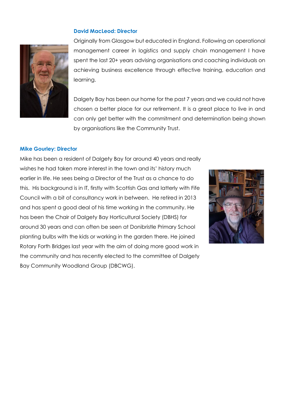#### **David MacLeod: Director**



Originally from Glasgow but educated in England. Following an operational management career in logistics and supply chain management I have spent the last 20+ years advising organisations and coaching individuals on achieving business excellence through effective training, education and learning.

Dalgety Bay has been our home for the past 7 years and we could not have chosen a better place for our retirement. It is a great place to live in and can only get better with the commitment and determination being shown by organisations like the Community Trust.

#### **Mike Gourley: Director**

<span id="page-6-0"></span>Mike has been a resident of Dalgety Bay for around 40 years and really wishes he had taken more interest in the town and its' history much earlier in life. He sees being a Director of the Trust as a chance to do this. His background is in IT, firstly with Scottish Gas and latterly with Fife Council with a bit of consultancy work in between. He retired in 2013 and has spent a good deal of his time working in the community. He has been the Chair of Dalgety Bay Horticultural Society (DBHS) for around 30 years and can often be seen at Donibristle Primary School planting bulbs with the kids or working in the garden there. He joined Rotary Forth Bridges last year with the aim of doing more good work in the community and has recently elected to the committee of Dalgety Bay Community Woodland Group (DBCWG).

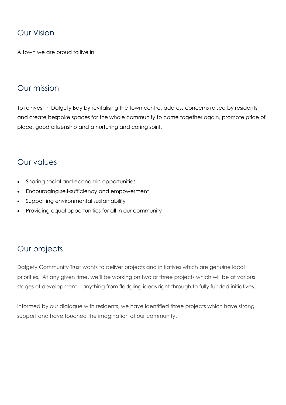### Our Vision

A town we are proud to live in

### <span id="page-7-0"></span>Our mission

To reinvest in Dalgety Bay by revitalising the town centre, address concerns raised by residents and create bespoke spaces for the whole community to come together again, promote pride of place, good citizenship and a nurturing and caring spirit.

### <span id="page-7-1"></span>Our values

- Sharing social and economic opportunities
- Encouraging self-sufficiency and empowerment
- Supporting environmental sustainability
- Providing equal opportunities for all in our community

### <span id="page-7-2"></span>Our projects

Dalgety Community Trust wants to deliver projects and initiatives which are genuine local priorities. At any given time, we'll be working on two or three projects which will be at various stages of development – anything from fledgling ideas right through to fully funded initiatives.

Informed by our dialogue with residents, we have identified three projects which have strong support and have touched the imagination of our community.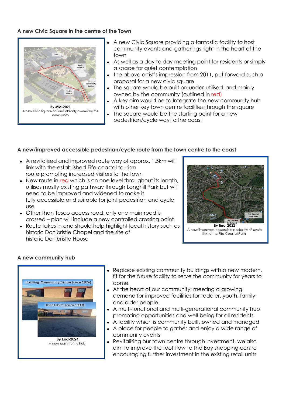### **A new Civic Square in the centre of the Town**



- A new Civic Square providing a fantastic facility to host community events and gatherings right in the heart of the town
- As well as a day to day meeting point for residents or simply a space for quiet contemplation
- the above artist's impression from 2011, put forward such a proposal for a new civic square
- The square would be built on under-utilised land mainly owned by the community (outlined in red)
- A key aim would be to Integrate the new community hub with other key town centre facilities through the square
- The square would be the starting point for a new pedestrian/cycle way to the coast

#### **A new/improved accessible pedestrian/cycle route from the town centre to the coast**

- A revitalised and improved route way of approx. 1.5km will link with the established Fife coastal tourism route promoting increased visitors to the town
- New route in red which is on one level throughout its length, utilises mostly existing pathway through Longhill Park but will need to be improved and widened to make it fully accessible and suitable for joint pedestrian and cycle use
- Other than Tesco access road, only one main road is crossed – plan will include a new controlled crossing point
- Route takes in and should help highlight local history such as historic Donibristle Chapel and the site of historic Donibristle House



A new/improved accessible pedestrian/ cycle link to the Fife Coastal Path

#### **A new community hub**



- Replace existing community buildings with a new modern, fit for the future facility to serve the community for years to come
- At the heart of our community; meeting a growing demand for improved facilities for toddler, youth, family and older people
- A multi-functional and multi-generational community hub promoting opportunities and well-being for all residents
- A facility which is community built, owned and managed
- A place for people to gather and enjoy a wide range of community events
- Revitalising our town centre through investment, we also aim to improve the foot flow to the Bay shopping centre encouraging further investment in the existing retail units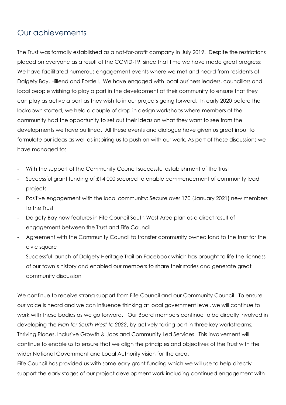### <span id="page-9-0"></span>Our achievements

The Trust was formally established as a not-for-profit company in July 2019. Despite the restrictions placed on everyone as a result of the COVID-19, since that time we have made great progress; We have facilitated numerous engagement events where we met and heard from residents of Dalgety Bay, Hillend and Fordell. We have engaged with local business leaders, councillors and local people wishing to play a part in the development of their community to ensure that they can play as active a part as they wish to in our projects going forward. In early 2020 before the lockdown started, we held a couple of drop-in design workshops where members of the community had the opportunity to set out their ideas on what they want to see from the developments we have outlined. All these events and dialogue have given us great input to formulate our ideas as well as inspiring us to push on with our work. As part of these discussions we have managed to:

- With the support of the Community Council successful establishment of the Trust
- Successful grant funding of £14,000 secured to enable commencement of community lead projects
- Positive engagement with the local community: Secure over 170 (January 2021) new members to the Trust
- Dalgety Bay now features in Fife Council South West Area plan as a direct result of engagement between the Trust and Fife Council
- Agreement with the Community Council to transfer community owned land to the trust for the civic square
- Successful launch of Dalgety Heritage Trail on Facebook which has brought to life the richness of our town's history and enabled our members to share their stories and generate great community discussion

We continue to receive strong support from Fife Council and our Community Council. To ensure our voice is heard and we can influence thinking at local government level, we will continue to work with these bodies as we go forward. Our Board members continue to be directly involved in developing the *Plan for South West to 2022*, by actively taking part in three key workstreams; Thriving Places, Inclusive Growth & Jobs and Community Led Services. This involvement will continue to enable us to ensure that we align the principles and objectives of the Trust with the wider National Government and Local Authority vision for the area.

Fife Council has provided us with some early grant funding which we will use to help directly support the early stages of our project development work including continued engagement with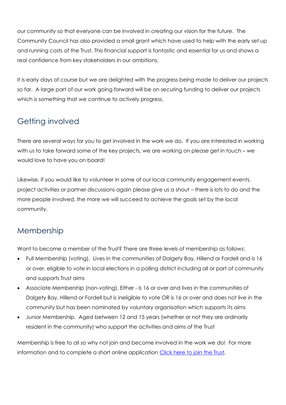our community so that everyone can be involved in creating our vision for the future. The Community Council has also provided a small grant which have used to help with the early set up and running costs of the Trust. This financial support is fantastic and essential for us and shows a real confidence from key stakeholders in our ambitions.

It is early days of course but we are delighted with the progress being made to deliver our projects so far. A large part of our work going forward will be on securing funding to deliver our projects which is something that we continue to actively progress.

### <span id="page-10-0"></span>Getting involved

There are several ways for you to get involved in the work we do. If you are interested in working with us to take forward some of the key projects, we are working on please get in touch – we would love to have you on board!

Likewise, if you would like to volunteer in some of our local community engagement events, project activities or partner discussions again please give us a shout – there is lots to do and the more people involved, the more we will succeed to achieve the goals set by the local community.

### <span id="page-10-1"></span>Membership

Want to become a member of the Trust? There are three levels of membership as follows:

- Full Membership (voting). Lives in the communities of Dalgety Bay, Hillend or Fordell and is 16 or over, eligible to vote in local elections in a polling district including all or part of community and supports Trust aims
- Associate Membership (non-voting). Either is 16 or over and lives in the communities of Dalgety Bay, Hillend or Fordell but is ineligible to vote OR is 16 or over and does not live in the community but has been nominated by voluntary organisation which supports its aims
- Junior Membership. Aged between 12 and 15 years (whether or not they are ordinarily resident in the community) who support the activities and aims of the Trust

Membership is free to all so why not join and become involved in the work we do! For more information and to complete a short online application [Click here to join the Trust.](https://bit.ly/2Q8Q0Vs)